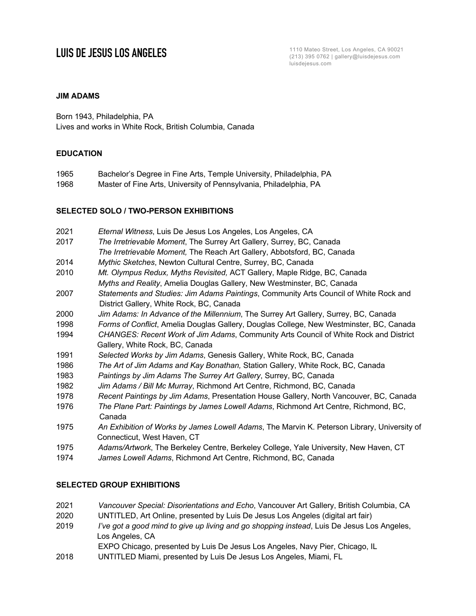**LUIS DE JESUS LOS ANGELES** (213) 395 0762 | gallery@luisdejesus.com luisdejesus.com

## **JIM ADAMS**

Born 1943, Philadelphia, PA Lives and works in White Rock, British Columbia, Canada

## **EDUCATION**

- 1965 Bachelor's Degree in Fine Arts, Temple University, Philadelphia, PA
- 1968 Master of Fine Arts, University of Pennsylvania, Philadelphia, PA

### **SELECTED SOLO / TWO-PERSON EXHIBITIONS**

- 2021 *Eternal Witness*, Luis De Jesus Los Angeles, Los Angeles, CA
- 2017 *The Irretrievable Moment*, The Surrey Art Gallery, Surrey, BC, Canada *The Irretrievable Moment,* The Reach Art Gallery, Abbotsford, BC, Canada
- 2014 *Mythic Sketches*, Newton Cultural Centre, Surrey, BC, Canada
- 2010 *Mt. Olympus Redux, Myths Revisited,* ACT Gallery, Maple Ridge, BC, Canada  *Myths and Reality*, Amelia Douglas Gallery, New Westminster, BC, Canada
- 2007 *Statements and Studies: Jim Adams Paintings*, Community Arts Council of White Rock and District Gallery, White Rock, BC, Canada
- 2000 *Jim Adams: In Advance of the Millennium*, The Surrey Art Gallery, Surrey, BC, Canada
- 1998 *Forms of Conflict*, Amelia Douglas Gallery, Douglas College, New Westminster, BC, Canada
- 1994 *CHANGES: Recent Work of Jim Adams*, Community Arts Council of White Rock and District Gallery, White Rock, BC, Canada
- 1991 *Selected Works by Jim Adams*, Genesis Gallery, White Rock, BC, Canada
- 1986 *The Art of Jim Adams and Kay Bonathan,* Station Gallery, White Rock, BC, Canada
- 1983 *Paintings by Jim Adams The Surrey Art Gallery*, Surrey, BC, Canada
- 1982 *Jim Adams / Bill Mc Murray*, Richmond Art Centre, Richmond, BC, Canada
- 1978 *Recent Paintings by Jim Adams*, Presentation House Gallery, North Vancouver, BC, Canada
- 1976 *The Plane Part: Paintings by James Lowell Adams*, Richmond Art Centre, Richmond, BC, Canada
- 1975 *An Exhibition of Works by James Lowell Adams*, The Marvin K. Peterson Library, University of Connecticut, West Haven, CT
- 1975 *Adams/Artwork*, The Berkeley Centre, Berkeley College, Yale University, New Haven, CT
- 1974 *James Lowell Adams*, Richmond Art Centre, Richmond, BC, Canada

## **SELECTED GROUP EXHIBITIONS**

- 2021 *Vancouver Special: Disorientations and Echo*, Vancouver Art Gallery, British Columbia, CA
- 2020 UNTITLED, Art Online, presented by Luis De Jesus Los Angeles (digital art fair)
- 2019 *I've got a good mind to give up living and go shopping instead*, Luis De Jesus Los Angeles, Los Angeles, CA
	- EXPO Chicago, presented by Luis De Jesus Los Angeles, Navy Pier, Chicago, IL
- 2018 UNTITLED Miami, presented by Luis De Jesus Los Angeles, Miami, FL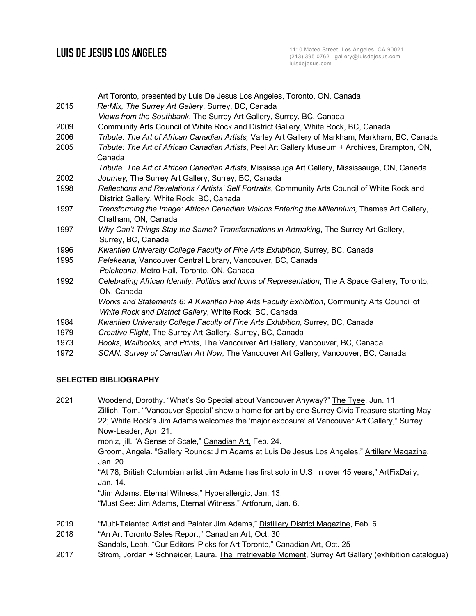# **LUIS DE JESUS LOS ANGELES**

Art Toronto, presented by Luis De Jesus Los Angeles, Toronto, ON, Canada 2015 *Re:Mix, The Surrey Art Gallery*, Surrey, BC, Canada *Views from the Southbank*, The Surrey Art Gallery, Surrey, BC, Canada 2009 Community Arts Council of White Rock and District Gallery, White Rock, BC, Canada 2006 *Tribute: The Art of African Canadian Artists,* Varley Art Gallery of Markham, Markham, BC, Canada 2005 *Tribute: The Art of African Canadian Artists*, Peel Art Gallery Museum + Archives, Brampton, ON, Canada *Tribute: The Art of African Canadian Artists*, Mississauga Art Gallery, Mississauga, ON, Canada 2002 *Journey*, The Surrey Art Gallery, Surrey, BC, Canada 1998 *Reflections and Revelations / Artists' Self Portraits*, Community Arts Council of White Rock and District Gallery, White Rock, BC, Canada 1997 *Transforming the Image: African Canadian Visions Entering the Millennium,* Thames Art Gallery, Chatham, ON, Canada 1997 *Why Can't Things Stay the Same? Transformations in Artmaking*, The Surrey Art Gallery, Surrey, BC, Canada 1996 *Kwantlen University College Faculty of Fine Arts Exhibition*, Surrey, BC, Canada 1995 *Pelekeana,* Vancouver Central Library, Vancouver, BC, Canada *Pelekeana*, Metro Hall, Toronto, ON, Canada 1992 *Celebrating African Identity: Politics and Icons of Representation*, The A Space Gallery, Toronto, ON, Canada *Works and Statements 6: A Kwantlen Fine Arts Faculty Exhibition*, Community Arts Council of  *White Rock and District Gallery*, White Rock, BC, Canada 1984 *Kwantlen University College Faculty of Fine Arts Exhibition*, Surrey, BC, Canada 1979 *Creative Flight*, The Surrey Art Gallery, Surrey, BC, Canada 1973 *Books, Wallbooks, and Prints*, The Vancouver Art Gallery, Vancouver, BC, Canada 1972 *SCAN: Survey of Canadian Art Now*, The Vancouver Art Gallery, Vancouver, BC, Canada

## **SELECTED BIBLIOGRAPHY**

| 2021 | Woodend, Dorothy. "What's So Special about Vancouver Anyway?" The Tyee, Jun. 11                   |
|------|---------------------------------------------------------------------------------------------------|
|      | Zillich, Tom. "Vancouver Special' show a home for art by one Surrey Civic Treasure starting May   |
|      | 22; White Rock's Jim Adams welcomes the 'major exposure' at Vancouver Art Gallery," Surrey        |
|      | Now-Leader, Apr. 21.                                                                              |
|      | moniz, jill. "A Sense of Scale," Canadian Art, Feb. 24.                                           |
|      | Groom, Angela. "Gallery Rounds: Jim Adams at Luis De Jesus Los Angeles," Artillery Magazine,      |
|      | Jan. 20.                                                                                          |
|      | "At 78, British Columbian artist Jim Adams has first solo in U.S. in over 45 years," ArtFixDaily, |
|      | Jan. 14.                                                                                          |
|      | "Jim Adams: Eternal Witness," Hyperallergic, Jan. 13.                                             |
|      | "Must See: Jim Adams, Eternal Witness," Artforum, Jan. 6.                                         |
|      |                                                                                                   |
| 2019 | "Multi-Talented Artist and Painter Jim Adams," Distillery District Magazine, Feb. 6               |
| 2018 | "An Art Toronto Sales Report," Canadian Art, Oct. 30                                              |
|      |                                                                                                   |

- Sandals, Leah. "Our Editors' Picks for Art Toronto," Canadian Art, Oct. 25
- 2017 Strom, Jordan + Schneider, Laura. The Irretrievable Moment, Surrey Art Gallery (exhibition catalogue)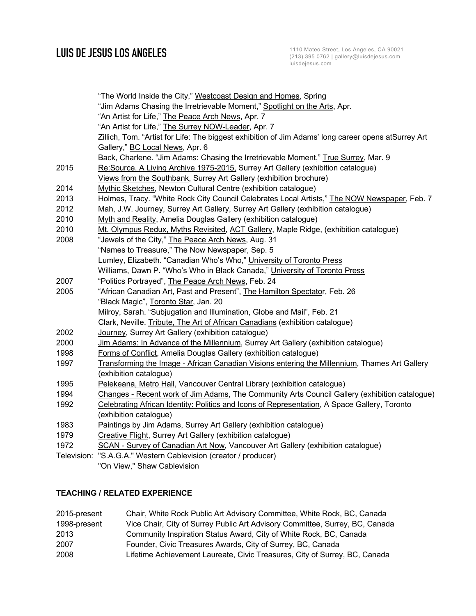|      | "The World Inside the City," Westcoast Design and Homes, Spring                                     |  |
|------|-----------------------------------------------------------------------------------------------------|--|
|      | "Jim Adams Chasing the Irretrievable Moment," Spotlight on the Arts, Apr.                           |  |
|      | "An Artist for Life," The Peace Arch News, Apr. 7                                                   |  |
|      | "An Artist for Life," The Surrey NOW-Leader, Apr. 7                                                 |  |
|      | Zillich, Tom. "Artist for Life: The biggest exhibition of Jim Adams' long career opens atSurrey Art |  |
|      | Gallery," BC Local News, Apr. 6                                                                     |  |
|      | Back, Charlene. "Jim Adams: Chasing the Irretrievable Moment," True Surrey, Mar. 9                  |  |
| 2015 | Re:Source, A Living Archive 1975-2015. Surrey Art Gallery (exhibition catalogue)                    |  |
|      | Views from the Southbank, Surrey Art Gallery (exhibition brochure)                                  |  |
| 2014 | Mythic Sketches, Newton Cultural Centre (exhibition catalogue)                                      |  |
| 2013 | Holmes, Tracy. "White Rock City Council Celebrates Local Artists," The NOW Newspaper, Feb. 7        |  |
| 2012 | Mah, J.W. Journey, Surrey Art Gallery, Surrey Art Gallery (exhibition catalogue)                    |  |
| 2010 | Myth and Reality, Amelia Douglas Gallery (exhibition catalogue)                                     |  |
| 2010 | Mt. Olympus Redux, Myths Revisited, ACT Gallery, Maple Ridge, (exhibition catalogue)                |  |
| 2008 | "Jewels of the City," The Peace Arch News, Aug. 31                                                  |  |
|      | "Names to Treasure," The Now Newspaper, Sep. 5                                                      |  |
|      | Lumley, Elizabeth. "Canadian Who's Who," University of Toronto Press                                |  |
|      | Williams, Dawn P. "Who's Who in Black Canada," University of Toronto Press                          |  |
| 2007 | "Politics Portrayed", The Peace Arch News, Feb. 24                                                  |  |
| 2005 | "African Canadian Art, Past and Present", The Hamilton Spectator, Feb. 26                           |  |
|      | "Black Magic", Toronto Star, Jan. 20                                                                |  |
|      | Milroy, Sarah. "Subjugation and Illumination, Globe and Mail", Feb. 21                              |  |
|      | Clark, Neville. Tribute, The Art of African Canadians (exhibition catalogue)                        |  |
| 2002 | Journey, Surrey Art Gallery (exhibition catalogue)                                                  |  |
| 2000 | Jim Adams: In Advance of the Millennium, Surrey Art Gallery (exhibition catalogue)                  |  |
| 1998 | Forms of Conflict, Amelia Douglas Gallery (exhibition catalogue)                                    |  |
| 1997 | Transforming the Image - African Canadian Visions entering the Millennium, Thames Art Gallery       |  |
|      | (exhibition catalogue)                                                                              |  |
| 1995 | Pelekeana, Metro Hall, Vancouver Central Library (exhibition catalogue)                             |  |
| 1994 | Changes - Recent work of Jim Adams, The Community Arts Council Gallery (exhibition catalogue)       |  |
| 1992 | Celebrating African Identity: Politics and Icons of Representation, A Space Gallery, Toronto        |  |
|      | (exhibition catalogue)                                                                              |  |
| 1983 | Paintings by Jim Adams, Surrey Art Gallery (exhibition catalogue)                                   |  |
| 1979 | Creative Flight, Surrey Art Gallery (exhibition catalogue)                                          |  |
| 1972 | SCAN - Survey of Canadian Art Now, Vancouver Art Gallery (exhibition catalogue)                     |  |
|      | Television: "S.A.G.A." Western Cablevision (creator / producer)                                     |  |
|      | "On View," Shaw Cablevision                                                                         |  |

## **TEACHING / RELATED EXPERIENCE**

| 2015-present | Chair, White Rock Public Art Advisory Committee, White Rock, BC, Canada      |
|--------------|------------------------------------------------------------------------------|
| 1998-present | Vice Chair, City of Surrey Public Art Advisory Committee, Surrey, BC, Canada |
| 2013         | Community Inspiration Status Award, City of White Rock, BC, Canada           |
| 2007         | Founder, Civic Treasures Awards, City of Surrey, BC, Canada                  |
| 2008         | Lifetime Achievement Laureate, Civic Treasures, City of Surrey, BC, Canada   |